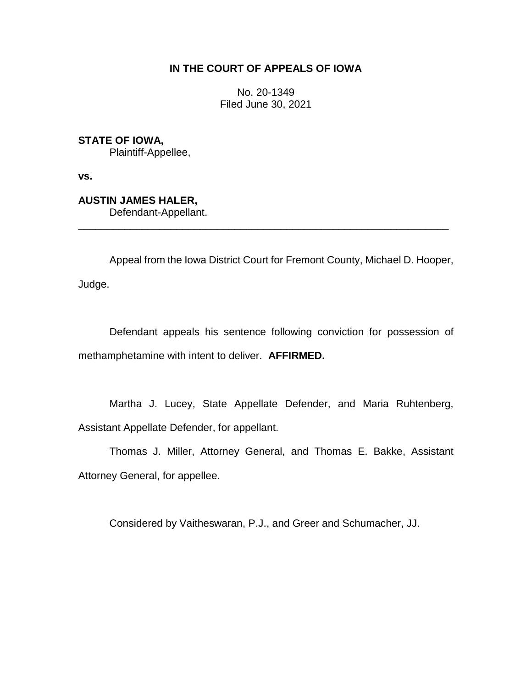# **IN THE COURT OF APPEALS OF IOWA**

No. 20-1349 Filed June 30, 2021

**STATE OF IOWA,** Plaintiff-Appellee,

**vs.**

**AUSTIN JAMES HALER,** Defendant-Appellant.

Appeal from the Iowa District Court for Fremont County, Michael D. Hooper, Judge.

\_\_\_\_\_\_\_\_\_\_\_\_\_\_\_\_\_\_\_\_\_\_\_\_\_\_\_\_\_\_\_\_\_\_\_\_\_\_\_\_\_\_\_\_\_\_\_\_\_\_\_\_\_\_\_\_\_\_\_\_\_\_\_\_

Defendant appeals his sentence following conviction for possession of methamphetamine with intent to deliver. **AFFIRMED.**

Martha J. Lucey, State Appellate Defender, and Maria Ruhtenberg, Assistant Appellate Defender, for appellant.

Thomas J. Miller, Attorney General, and Thomas E. Bakke, Assistant Attorney General, for appellee.

Considered by Vaitheswaran, P.J., and Greer and Schumacher, JJ.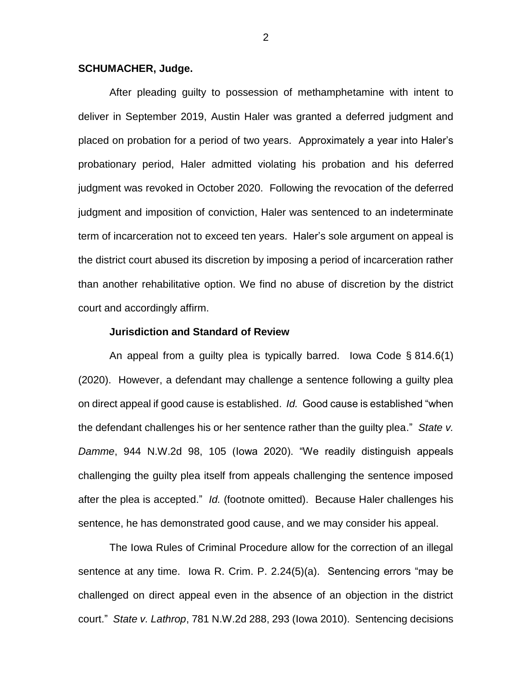### **SCHUMACHER, Judge.**

After pleading guilty to possession of methamphetamine with intent to deliver in September 2019, Austin Haler was granted a deferred judgment and placed on probation for a period of two years. Approximately a year into Haler's probationary period, Haler admitted violating his probation and his deferred judgment was revoked in October 2020. Following the revocation of the deferred judgment and imposition of conviction, Haler was sentenced to an indeterminate term of incarceration not to exceed ten years. Haler's sole argument on appeal is the district court abused its discretion by imposing a period of incarceration rather than another rehabilitative option. We find no abuse of discretion by the district court and accordingly affirm.

#### **Jurisdiction and Standard of Review**

An appeal from a guilty plea is typically barred. Iowa Code § 814.6(1) (2020). However, a defendant may challenge a sentence following a guilty plea on direct appeal if good cause is established. *Id.* Good cause is established "when the defendant challenges his or her sentence rather than the guilty plea." *State v. Damme*, 944 N.W.2d 98, 105 (Iowa 2020). "We readily distinguish appeals challenging the guilty plea itself from appeals challenging the sentence imposed after the plea is accepted." *Id.* (footnote omitted). Because Haler challenges his sentence, he has demonstrated good cause, and we may consider his appeal.

The Iowa Rules of Criminal Procedure allow for the correction of an illegal sentence at any time. Iowa R. Crim. P. 2.24(5)(a). Sentencing errors "may be challenged on direct appeal even in the absence of an objection in the district court." *State v. Lathrop*, 781 N.W.2d 288, 293 (Iowa 2010). Sentencing decisions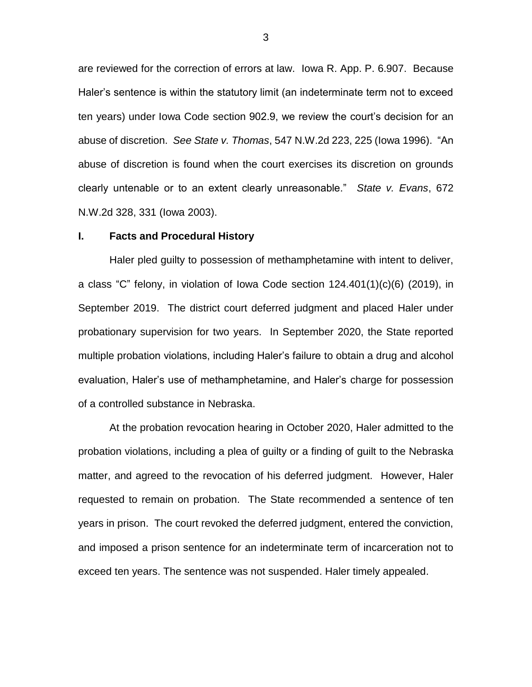are reviewed for the correction of errors at law. Iowa R. App. P. 6.907. Because Haler's sentence is within the statutory limit (an indeterminate term not to exceed ten years) under Iowa Code section 902.9, we review the court's decision for an abuse of discretion. *See State v. Thomas*, 547 N.W.2d 223, 225 (Iowa 1996). "An abuse of discretion is found when the court exercises its discretion on grounds clearly untenable or to an extent clearly unreasonable." *State v. Evans*, 672 N.W.2d 328, 331 (Iowa 2003).

#### **I. Facts and Procedural History**

Haler pled guilty to possession of methamphetamine with intent to deliver, a class "C" felony, in violation of Iowa Code section 124.401(1)(c)(6) (2019), in September 2019. The district court deferred judgment and placed Haler under probationary supervision for two years. In September 2020, the State reported multiple probation violations, including Haler's failure to obtain a drug and alcohol evaluation, Haler's use of methamphetamine, and Haler's charge for possession of a controlled substance in Nebraska.

At the probation revocation hearing in October 2020, Haler admitted to the probation violations, including a plea of guilty or a finding of guilt to the Nebraska matter, and agreed to the revocation of his deferred judgment. However, Haler requested to remain on probation. The State recommended a sentence of ten years in prison. The court revoked the deferred judgment, entered the conviction, and imposed a prison sentence for an indeterminate term of incarceration not to exceed ten years. The sentence was not suspended. Haler timely appealed.

3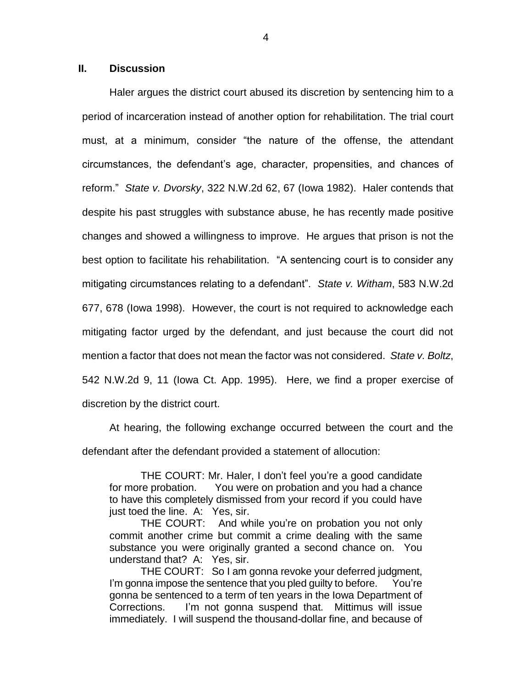## **II. Discussion**

Haler argues the district court abused its discretion by sentencing him to a period of incarceration instead of another option for rehabilitation. The trial court must, at a minimum, consider "the nature of the offense, the attendant circumstances, the defendant's age, character, propensities, and chances of reform." *State v. Dvorsky*, 322 N.W.2d 62, 67 (Iowa 1982). Haler contends that despite his past struggles with substance abuse, he has recently made positive changes and showed a willingness to improve. He argues that prison is not the best option to facilitate his rehabilitation. "A sentencing court is to consider any mitigating circumstances relating to a defendant". *State v. Witham*, 583 N.W.2d 677, 678 (Iowa 1998). However, the court is not required to acknowledge each mitigating factor urged by the defendant, and just because the court did not mention a factor that does not mean the factor was not considered. *State v. Boltz*, 542 N.W.2d 9, 11 (Iowa Ct. App. 1995). Here, we find a proper exercise of discretion by the district court.

At hearing, the following exchange occurred between the court and the defendant after the defendant provided a statement of allocution:

THE COURT: Mr. Haler, I don't feel you're a good candidate for more probation. You were on probation and you had a chance to have this completely dismissed from your record if you could have just toed the line. A: Yes, sir.

THE COURT: And while you're on probation you not only commit another crime but commit a crime dealing with the same substance you were originally granted a second chance on. You understand that? A: Yes, sir.

THE COURT: So I am gonna revoke your deferred judgment, I'm gonna impose the sentence that you pled quilty to before. You're gonna be sentenced to a term of ten years in the Iowa Department of Corrections. I'm not gonna suspend that. Mittimus will issue immediately. I will suspend the thousand-dollar fine, and because of

4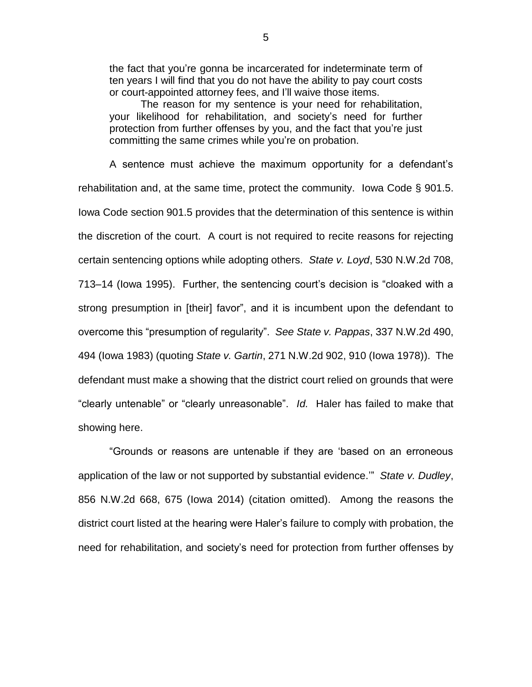the fact that you're gonna be incarcerated for indeterminate term of ten years I will find that you do not have the ability to pay court costs or court-appointed attorney fees, and I'll waive those items.

The reason for my sentence is your need for rehabilitation, your likelihood for rehabilitation, and society's need for further protection from further offenses by you, and the fact that you're just committing the same crimes while you're on probation.

A sentence must achieve the maximum opportunity for a defendant's rehabilitation and, at the same time, protect the community. Iowa Code § 901.5. Iowa Code section 901.5 provides that the determination of this sentence is within the discretion of the court. A court is not required to recite reasons for rejecting certain sentencing options while adopting others. *State v. Loyd*, 530 N.W.2d 708, 713–14 (Iowa 1995). Further, the sentencing court's decision is "cloaked with a strong presumption in [their] favor", and it is incumbent upon the defendant to overcome this "presumption of regularity". *See State v. Pappas*, 337 N.W.2d 490, 494 (Iowa 1983) (quoting *State v. Gartin*, 271 N.W.2d 902, 910 (Iowa 1978)). The defendant must make a showing that the district court relied on grounds that were "clearly untenable" or "clearly unreasonable". *Id.* Haler has failed to make that showing here.

"Grounds or reasons are untenable if they are 'based on an erroneous application of the law or not supported by substantial evidence.'" *State v. Dudley*, 856 N.W.2d 668, 675 (Iowa 2014) (citation omitted). Among the reasons the district court listed at the hearing were Haler's failure to comply with probation, the need for rehabilitation, and society's need for protection from further offenses by